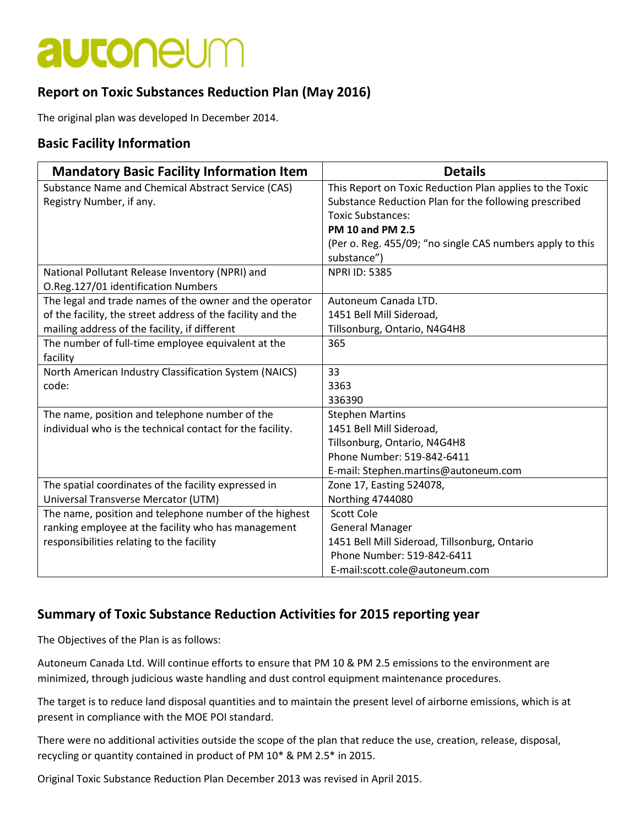# **autoneum**

### **Report on Toxic Substances Reduction Plan (May 2016)**

The original plan was developed In December 2014.

#### **Basic Facility Information**

| <b>Mandatory Basic Facility Information Item</b>            | <b>Details</b>                                            |
|-------------------------------------------------------------|-----------------------------------------------------------|
| Substance Name and Chemical Abstract Service (CAS)          | This Report on Toxic Reduction Plan applies to the Toxic  |
| Registry Number, if any.                                    | Substance Reduction Plan for the following prescribed     |
|                                                             | <b>Toxic Substances:</b>                                  |
|                                                             | <b>PM 10 and PM 2.5</b>                                   |
|                                                             | (Per o. Reg. 455/09; "no single CAS numbers apply to this |
|                                                             | substance")                                               |
| National Pollutant Release Inventory (NPRI) and             | <b>NPRI ID: 5385</b>                                      |
| O.Reg.127/01 identification Numbers                         |                                                           |
| The legal and trade names of the owner and the operator     | Autoneum Canada LTD.                                      |
| of the facility, the street address of the facility and the | 1451 Bell Mill Sideroad,                                  |
| mailing address of the facility, if different               | Tillsonburg, Ontario, N4G4H8                              |
| The number of full-time employee equivalent at the          | 365                                                       |
| facility                                                    |                                                           |
| North American Industry Classification System (NAICS)       | 33                                                        |
| code:                                                       | 3363                                                      |
|                                                             | 336390                                                    |
| The name, position and telephone number of the              | <b>Stephen Martins</b>                                    |
| individual who is the technical contact for the facility.   | 1451 Bell Mill Sideroad,                                  |
|                                                             | Tillsonburg, Ontario, N4G4H8                              |
|                                                             | Phone Number: 519-842-6411                                |
|                                                             | E-mail: Stephen.martins@autoneum.com                      |
| The spatial coordinates of the facility expressed in        | Zone 17, Easting 524078,                                  |
| Universal Transverse Mercator (UTM)                         | <b>Northing 4744080</b>                                   |
| The name, position and telephone number of the highest      | <b>Scott Cole</b>                                         |
| ranking employee at the facility who has management         | <b>General Manager</b>                                    |
| responsibilities relating to the facility                   | 1451 Bell Mill Sideroad, Tillsonburg, Ontario             |
|                                                             | Phone Number: 519-842-6411                                |
|                                                             | E-mail:scott.cole@autoneum.com                            |

### **Summary of Toxic Substance Reduction Activities for 2015 reporting year**

The Objectives of the Plan is as follows:

Autoneum Canada Ltd. Will continue efforts to ensure that PM 10 & PM 2.5 emissions to the environment are minimized, through judicious waste handling and dust control equipment maintenance procedures.

The target is to reduce land disposal quantities and to maintain the present level of airborne emissions, which is at present in compliance with the MOE POI standard.

There were no additional activities outside the scope of the plan that reduce the use, creation, release, disposal, recycling or quantity contained in product of PM 10\* & PM 2.5\* in 2015.

Original Toxic Substance Reduction Plan December 2013 was revised in April 2015.